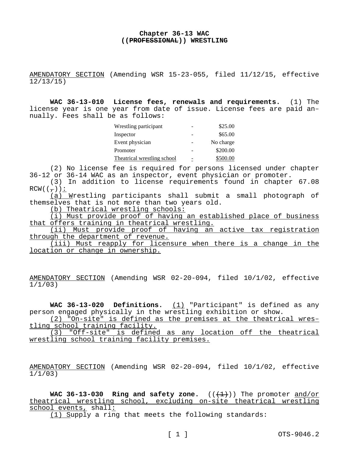## **Chapter 36-13 WAC ((PROFESSIONAL)) WRESTLING**

AMENDATORY SECTION (Amending WSR 15-23-055, filed 11/12/15, effective 12/13/15)

**WAC 36-13-010 License fees, renewals and requirements.** (1) The license year is one year from date of issue. License fees are paid annually. Fees shall be as follows:

| Wrestling participant       |   | \$25.00   |
|-----------------------------|---|-----------|
| Inspector                   |   | \$65.00   |
| Event physician             |   | No charge |
| Promoter                    |   | \$200.00  |
| Theatrical wrestling school | - | \$500.00  |

(2) No license fee is required for persons licensed under chapter 36-12 or 36-14 WAC as an inspector, event physician or promoter.

(3) In addition to license requirements found in chapter 67.08  $RCW((-))$ :

 $(a)$  Wrestling participants shall submit a small photograph of themselves that is not more than two years old.

(b) Theatrical wrestling schools:

(i) Must provide proof of having an established place of business that offers training in theatrical wrestling.

(ii) Must provide proof of having an active tax registration through the department of revenue.

(iii) Must reapply for licensure when there is a change in the location or change in ownership.

AMENDATORY SECTION (Amending WSR 02-20-094, filed 10/1/02, effective 1/1/03)

**WAC 36-13-020 Definitions.** (1) "Participant" is defined as any person engaged physically in the wrestling exhibition or show.

(2) "On-site" is defined as the premises at the theatrical wrestling school training facility.

(3) "Off-site" is defined as any location off the theatrical wrestling school training facility premises.

AMENDATORY SECTION (Amending WSR 02-20-094, filed 10/1/02, effective 1/1/03)

**WAC 36-13-030 Ring and safety zone.**  $((\text{+1})^2)$  The promoter and/or theatrical wrestling school, excluding on-site theatrical wrestling school events, shall:

(1) Supply a ring that meets the following standards: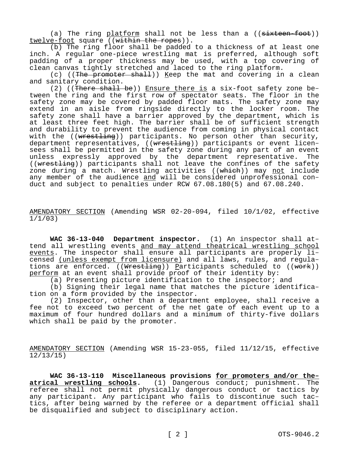(a) The ring platform shall not be less than a  $((\text{sixteen} - \text{foot}))$ twelve-foot square ((within the ropes)).

(b) The ring floor shall be padded to a thickness of at least one inch. A regular one-piece wrestling mat is preferred, although soft padding of a proper thickness may be used, with a top covering of clean canvas tightly stretched and laced to the ring platform.

(c) ((The promoter shall)) Keep the mat and covering in a clean and sanitary condition.

 $(2)$  ((There shall be)) Ensure there is a six-foot safety zone between the ring and the first row of spectator seats. The floor in the safety zone may be covered by padded floor mats. The safety zone may extend in an aisle from ringside directly to the locker room. The safety zone shall have a barrier approved by the department, which is at least three feet high. The barrier shall be of sufficient strength and durability to prevent the audience from coming in physical contact with the ((wrestling)) participants. No person other than security, department representatives, ((wrestling)) participants or event licensees shall be permitted in the safety zone during any part of an event unless expressly approved by the department representative. The ((wrestling)) participants shall not leave the confines of the safety zone during a match. Wrestling activities ((which)) may not include any member of the audience and will be considered unprofessional conduct and subject to penalties under RCW 67.08.180(5) and 67.08.240.

AMENDATORY SECTION (Amending WSR 02-20-094, filed 10/1/02, effective 1/1/03)

**WAC 36-13-040 Department inspector.** (1) An inspector shall attend all wrestling events and may attend theatrical wrestling school events. The inspector shall ensure all participants are properly licensed (unless exempt from licensure) and all laws, rules, and regulations are enforced. ((Wrestling)) Participants scheduled to ((work)) perform at an event shall provide proof of their identity by:

(a) Presenting picture identification to the inspector; and

(b) Signing their legal name that matches the picture identification on a form provided by the inspector.

(2) Inspector, other than a department employee, shall receive a fee not to exceed two percent of the net gate of each event up to a maximum of four hundred dollars and a minimum of thirty-five dollars which shall be paid by the promoter.

AMENDATORY SECTION (Amending WSR 15-23-055, filed 11/12/15, effective 12/13/15)

**WAC 36-13-110 Miscellaneous provisions <u>for promoters and/or the-</u><br>atrical wrestling schools. (1) Dangerous conduct; punishment. The atrical wrestling schools.** (1) Dangerous conduct; punishment. The referee shall not permit physically dangerous conduct or tactics by any participant. Any participant who fails to discontinue such tactics, after being warned by the referee or a department official shall be disqualified and subject to disciplinary action.